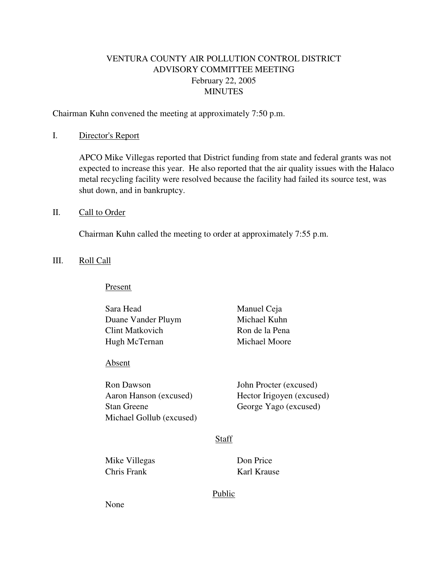# VENTURA COUNTY AIR POLLUTION CONTROL DISTRICT ADVISORY COMMITTEE MEETING February 22, 2005 MINUTES

Chairman Kuhn convened the meeting at approximately 7:50 p.m.

### I. Director's Report

 APCO Mike Villegas reported that District funding from state and federal grants was not expected to increase this year. He also reported that the air quality issues with the Halaco metal recycling facility were resolved because the facility had failed its source test, was shut down, and in bankruptcy.

#### II. Call to Order

Chairman Kuhn called the meeting to order at approximately 7:55 p.m.

### III. Roll Call

Present

| Sara Head          | Manuel Ceja    |
|--------------------|----------------|
| Duane Vander Pluym | Michael Kuhn   |
| Clint Matkovich    | Ron de la Pena |
| Hugh McTernan      | Michael Moore  |

#### Absent

| Ron Dawson               | John Procter (excused)    |
|--------------------------|---------------------------|
| Aaron Hanson (excused)   | Hector Irigoyen (excused) |
| <b>Stan Greene</b>       | George Yago (excused)     |
| Michael Gollub (excused) |                           |

#### **Staff**

Mike Villegas Don Price Chris Frank Karl Krause

### Public

None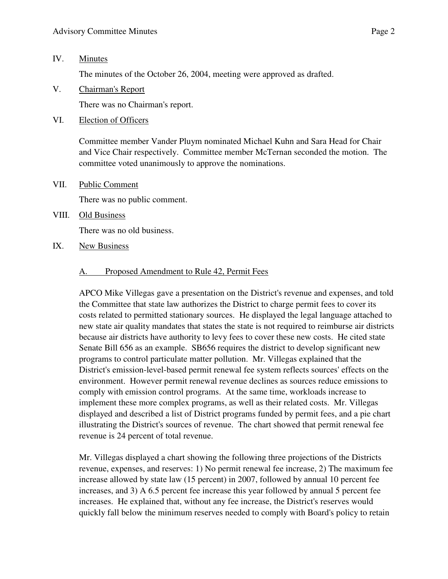### IV. Minutes

The minutes of the October 26, 2004, meeting were approved as drafted.

V. Chairman's Report

There was no Chairman's report.

VI. Election of Officers

 Committee member Vander Pluym nominated Michael Kuhn and Sara Head for Chair and Vice Chair respectively. Committee member McTernan seconded the motion. The committee voted unanimously to approve the nominations.

VII. Public Comment

There was no public comment.

VIII. Old Business

There was no old business.

IX. New Business

## A. Proposed Amendment to Rule 42, Permit Fees

APCO Mike Villegas gave a presentation on the District's revenue and expenses, and told the Committee that state law authorizes the District to charge permit fees to cover its costs related to permitted stationary sources. He displayed the legal language attached to new state air quality mandates that states the state is not required to reimburse air districts because air districts have authority to levy fees to cover these new costs. He cited state Senate Bill 656 as an example. SB656 requires the district to develop significant new programs to control particulate matter pollution. Mr. Villegas explained that the District's emission-level-based permit renewal fee system reflects sources' effects on the environment. However permit renewal revenue declines as sources reduce emissions to comply with emission control programs. At the same time, workloads increase to implement these more complex programs, as well as their related costs. Mr. Villegas displayed and described a list of District programs funded by permit fees, and a pie chart illustrating the District's sources of revenue. The chart showed that permit renewal fee revenue is 24 percent of total revenue.

Mr. Villegas displayed a chart showing the following three projections of the Districts revenue, expenses, and reserves: 1) No permit renewal fee increase, 2) The maximum fee increase allowed by state law (15 percent) in 2007, followed by annual 10 percent fee increases, and 3) A 6.5 percent fee increase this year followed by annual 5 percent fee increases. He explained that, without any fee increase, the District's reserves would quickly fall below the minimum reserves needed to comply with Board's policy to retain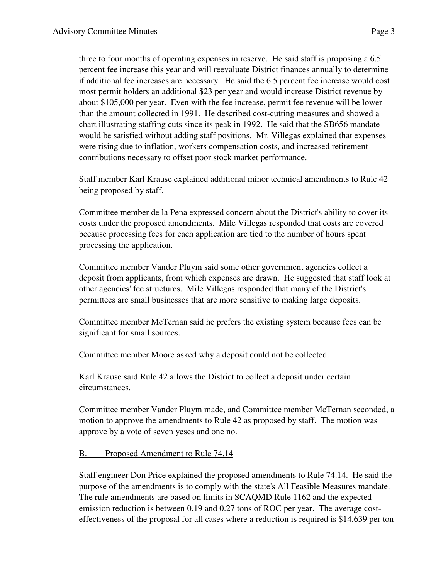three to four months of operating expenses in reserve. He said staff is proposing a 6.5 percent fee increase this year and will reevaluate District finances annually to determine if additional fee increases are necessary. He said the 6.5 percent fee increase would cost most permit holders an additional \$23 per year and would increase District revenue by about \$105,000 per year. Even with the fee increase, permit fee revenue will be lower than the amount collected in 1991. He described cost-cutting measures and showed a chart illustrating staffing cuts since its peak in 1992. He said that the SB656 mandate would be satisfied without adding staff positions. Mr. Villegas explained that expenses were rising due to inflation, workers compensation costs, and increased retirement contributions necessary to offset poor stock market performance.

Staff member Karl Krause explained additional minor technical amendments to Rule 42 being proposed by staff.

Committee member de la Pena expressed concern about the District's ability to cover its costs under the proposed amendments. Mile Villegas responded that costs are covered because processing fees for each application are tied to the number of hours spent processing the application.

Committee member Vander Pluym said some other government agencies collect a deposit from applicants, from which expenses are drawn. He suggested that staff look at other agencies' fee structures. Mile Villegas responded that many of the District's permittees are small businesses that are more sensitive to making large deposits.

Committee member McTernan said he prefers the existing system because fees can be significant for small sources.

Committee member Moore asked why a deposit could not be collected.

Karl Krause said Rule 42 allows the District to collect a deposit under certain circumstances.

Committee member Vander Pluym made, and Committee member McTernan seconded, a motion to approve the amendments to Rule 42 as proposed by staff. The motion was approve by a vote of seven yeses and one no.

## B. Proposed Amendment to Rule 74.14

Staff engineer Don Price explained the proposed amendments to Rule 74.14. He said the purpose of the amendments is to comply with the state's All Feasible Measures mandate. The rule amendments are based on limits in SCAQMD Rule 1162 and the expected emission reduction is between 0.19 and 0.27 tons of ROC per year. The average costeffectiveness of the proposal for all cases where a reduction is required is \$14,639 per ton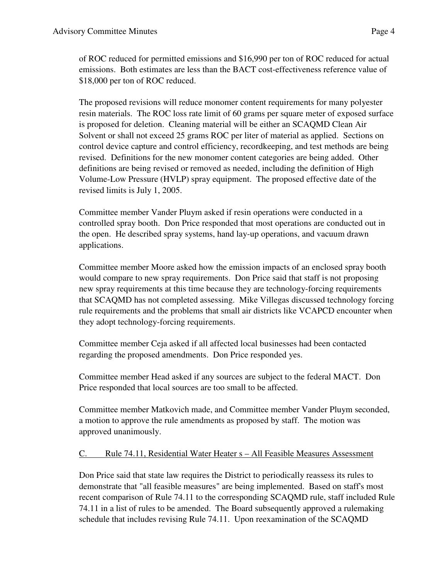of ROC reduced for permitted emissions and \$16,990 per ton of ROC reduced for actual emissions. Both estimates are less than the BACT cost-effectiveness reference value of \$18,000 per ton of ROC reduced.

The proposed revisions will reduce monomer content requirements for many polyester resin materials. The ROC loss rate limit of 60 grams per square meter of exposed surface is proposed for deletion. Cleaning material will be either an SCAQMD Clean Air Solvent or shall not exceed 25 grams ROC per liter of material as applied. Sections on control device capture and control efficiency, recordkeeping, and test methods are being revised. Definitions for the new monomer content categories are being added. Other definitions are being revised or removed as needed, including the definition of High Volume-Low Pressure (HVLP) spray equipment. The proposed effective date of the revised limits is July 1, 2005.

 Committee member Vander Pluym asked if resin operations were conducted in a controlled spray booth. Don Price responded that most operations are conducted out in the open. He described spray systems, hand lay-up operations, and vacuum drawn applications.

Committee member Moore asked how the emission impacts of an enclosed spray booth would compare to new spray requirements. Don Price said that staff is not proposing new spray requirements at this time because they are technology-forcing requirements that SCAQMD has not completed assessing. Mike Villegas discussed technology forcing rule requirements and the problems that small air districts like VCAPCD encounter when they adopt technology-forcing requirements.

Committee member Ceja asked if all affected local businesses had been contacted regarding the proposed amendments. Don Price responded yes.

Committee member Head asked if any sources are subject to the federal MACT. Don Price responded that local sources are too small to be affected.

Committee member Matkovich made, and Committee member Vander Pluym seconded, a motion to approve the rule amendments as proposed by staff. The motion was approved unanimously.

# C. Rule 74.11, Residential Water Heater s – All Feasible Measures Assessment

Don Price said that state law requires the District to periodically reassess its rules to demonstrate that "all feasible measures" are being implemented. Based on staff's most recent comparison of Rule 74.11 to the corresponding SCAQMD rule, staff included Rule 74.11 in a list of rules to be amended. The Board subsequently approved a rulemaking schedule that includes revising Rule 74.11. Upon reexamination of the SCAQMD